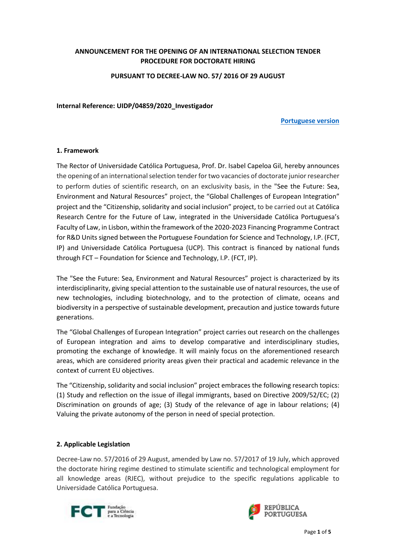## **ANNOUNCEMENT FOR THE OPENING OF AN INTERNATIONAL SELECTION TENDER PROCEDURE FOR DOCTORATE HIRING**

**PURSUANT TO DECREE-LAW NO. 57/ 2016 OF 29 AUGUST**

#### **Internal Reference: UIDP/04859/2020\_Investigador**

#### **[Portuguese version](https://ucppt-my.sharepoint.com/:w:/g/personal/afneves_ucp_pt/ESPTj5wB4WlEgLSdXNyYRAQBUnrKfiT-o0MdN-T8H_luVA?e=4%3aa8HleG&at=9)**

#### **1. Framework**

The Rector of Universidade Católica Portuguesa, Prof. Dr. Isabel Capeloa Gil, hereby announces the opening of an international selection tender fortwo vacancies of doctorate juniorresearcher to perform duties of scientific research, on an exclusivity basis, in the "See the Future: Sea, Environment and Natural Resources" project, the "Global Challenges of European Integration" project and the "Citizenship, solidarity and social inclusion" project, to be carried out at Católica Research Centre for the Future of Law, integrated in the Universidade Católica Portuguesa's Faculty of Law, in Lisbon, within the framework of the 2020-2023 Financing Programme Contract for R&D Units signed between the Portuguese Foundation for Science and Technology, I.P. (FCT, IP) and Universidade Católica Portuguesa (UCP). This contract is financed by national funds through FCT – Foundation for Science and Technology, I.P. (FCT, IP).

The "See the Future: Sea, Environment and Natural Resources" project is characterized by its interdisciplinarity, giving special attention to the sustainable use of natural resources, the use of new technologies, including biotechnology, and to the protection of climate, oceans and biodiversity in a perspective of sustainable development, precaution and justice towards future generations.

The "Global Challenges of European Integration" project carries out research on the challenges of European integration and aims to develop comparative and interdisciplinary studies, promoting the exchange of knowledge. It will mainly focus on the aforementioned research areas, which are considered priority areas given their practical and academic relevance in the context of current EU objectives.

The "Citizenship, solidarity and social inclusion" project embraces the following research topics: (1) Study and reflection on the issue of illegal immigrants, based on Directive 2009/52/EC; (2) Discrimination on grounds of age; (3) Study of the relevance of age in labour relations; (4) Valuing the private autonomy of the person in need of special protection.

#### **2. Applicable Legislation**

Decree-Law no. 57/2016 of 29 August, amended by Law no. 57/2017 of 19 July, which approved the doctorate hiring regime destined to stimulate scientific and technological employment for all knowledge areas (RJEC), without prejudice to the specific regulations applicable to Universidade Católica Portuguesa.



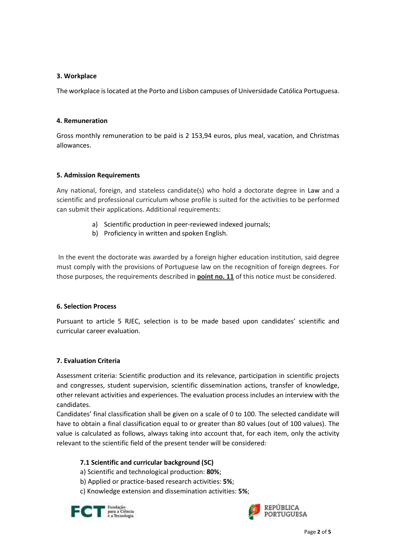#### **3. Workplace**

The workplace is located at the Porto and Lisbon campuses of Universidade Católica Portuguesa.

#### **4. Remuneration**

Gross monthly remuneration to be paid is 2 153,94 euros, plus meal, vacation, and Christmas allowances.

#### **5. Admission Requirements**

Any national, foreign, and stateless candidate(s) who hold a doctorate degree in Law and a scientific and professional curriculum whose profile is suited for the activities to be performed can submit their applications. Additional requirements:

- a) Scientific production in peer-reviewed indexed journals;
- b) Proficiency in written and spoken English.

In the event the doctorate was awarded by a foreign higher education institution, said degree must comply with the provisions of Portuguese law on the recognition of foreign degrees. For those purposes, the requirements described in **point no. 11** of this notice must be considered.

#### **6. Selection Process**

Pursuant to article 5 RJEC, selection is to be made based upon candidates' scientific and curricular career evaluation.

### **7. Evaluation Criteria**

Assessment criteria: Scientific production and its relevance, participation in scientific projects and congresses, student supervision, scientific dissemination actions, transfer of knowledge, other relevant activities and experiences. The evaluation process includes an interview with the candidates.

Candidates' final classification shall be given on a scale of 0 to 100. The selected candidate will have to obtain a final classification equal to or greater than 80 values (out of 100 values). The value is calculated as follows, always taking into account that, for each item, only the activity relevant to the scientific field of the present tender will be considered:

### **7.1 Scientific and curricular background (SC)**

- a) Scientific and technological production: **80%**;
- b) Applied or practice-based research activities: **5%**;
- c) Knowledge extension and dissemination activities: **5%**;



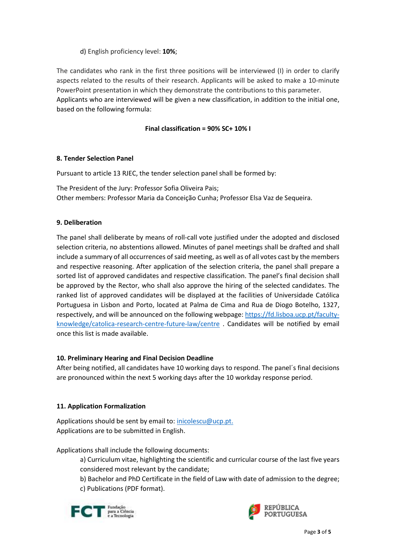## d) English proficiency level: **10%**;

The candidates who rank in the first three positions will be interviewed (I) in order to clarify aspects related to the results of their research. Applicants will be asked to make a 10-minute PowerPoint presentation in which they demonstrate the contributions to this parameter. Applicants who are interviewed will be given a new classification, in addition to the initial one, based on the following formula:

## **Final classification = 90% SC+ 10% I**

# **8. Tender Selection Panel**

Pursuant to article 13 RJEC, the tender selection panel shall be formed by:

The President of the Jury: Professor Sofia Oliveira Pais; Other members: Professor Maria da Conceição Cunha; Professor Elsa Vaz de Sequeira.

### **9. Deliberation**

The panel shall deliberate by means of roll-call vote justified under the adopted and disclosed selection criteria, no abstentions allowed. Minutes of panel meetings shall be drafted and shall include a summary of all occurrences of said meeting, as well as of all votes cast by the members and respective reasoning. After application of the selection criteria, the panel shall prepare a sorted list of approved candidates and respective classification. The panel's final decision shall be approved by the Rector, who shall also approve the hiring of the selected candidates. The ranked list of approved candidates will be displayed at the facilities of Universidade Católica Portuguesa in Lisbon and Porto, located at Palma de Cima and Rua de Diogo Botelho, 1327, respectively, and will be announced on the following webpage: [https://fd.lisboa.ucp.pt/faculty](https://fd.lisboa.ucp.pt/faculty-knowledge/catolica-research-centre-future-law/centre)[knowledge/catolica-research-centre-future-law/centre](https://fd.lisboa.ucp.pt/faculty-knowledge/catolica-research-centre-future-law/centre) . Candidates will be notified by email once this list is made available.

### **10. Preliminary Hearing and Final Decision Deadline**

After being notified, all candidates have 10 working days to respond. The panel´s final decisions are pronounced within the next 5 working days after the 10 workday response period.

### **11. Application Formalization**

Applications should be sent by email to[: inicolescu@ucp.pt.](mailto:inicolescu@ucp.pt) Applications are to be submitted in English.

Applications shall include the following documents:

a) Curriculum vitae, highlighting the scientific and curricular course of the last five years considered most relevant by the candidate;

b) Bachelor and PhD Certificate in the field of Law with date of admission to the degree; c) Publications (PDF format).



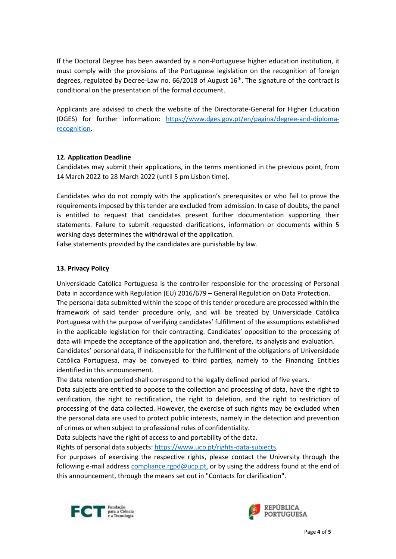If the Doctoral Degree has been awarded by a non-Portuguese higher education institution, it must comply with the provisions of the Portuguese legislation on the recognition of foreign degrees, regulated by Decree-Law no.  $66/2018$  of August  $16<sup>th</sup>$ . The signature of the contract is conditional on the presentation of the formal document.

Applicants are advised to check the website of the Directorate-General for Higher Education (DGES) for further information: [https://www.dges.gov.pt/en/pagina/degree-and-diploma](https://www.dges.gov.pt/en/pagina/degree-and-diploma-recognition)[recognition.](https://www.dges.gov.pt/en/pagina/degree-and-diploma-recognition)

### **12. Application Deadline**

Candidates may submit their applications, in the terms mentioned in the previous point, from 14March 2022 to 28 March 2022 (until 5 pm Lisbon time).

Candidates who do not comply with the application's prerequisites or who fail to prove the requirements imposed by this tender are excluded from admission. In case of doubts, the panel is entitled to request that candidates present further documentation supporting their statements. Failure to submit requested clarifications, information or documents within 5 working days determines the withdrawal of the application.

False statements provided by the candidates are punishable by law.

#### **13. Privacy Policy**

Universidade Católica Portuguesa is the controller responsible for the processing of Personal Data in accordance with Regulation (EU) 2016/679 – General Regulation on Data Protection. The personal data submitted within the scope of this tender procedure are processed within the framework of said tender procedure only, and will be treated by Universidade Católica Portuguesa with the purpose of verifying candidates' fulfillment of the assumptions established in the applicable legislation for their contracting. Candidates' opposition to the processing of data will impede the acceptance of the application and, therefore, its analysis and evaluation. Candidates' personal data, if indispensable for the fulfilment of the obligations of Universidade

Católica Portuguesa, may be conveyed to third parties, namely to the Financing Entities identified in this announcement.

The data retention period shall correspond to the legally defined period of five years.

Data subjects are entitled to oppose to the collection and processing of data, have the right to verification, the right to rectification, the right to deletion, and the right to restriction of processing of the data collected. However, the exercise of such rights may be excluded when the personal data are used to protect public interests, namely in the detection and prevention of crimes or when subject to professional rules of confidentiality.

Data subjects have the right of access to and portability of the data.

Rights of personal data subjects[: https://www.ucp.pt/rights-data-subjects.](https://www.ucp.pt/rights-data-subjects)

For purposes of exercising the respective rights, please contact the University through the following e-mail address [compliance.rgpd@ucp.pt,](mailto:compliance.rgpd@ucp.pt) or by using the address found at the end of this announcement, through the means set out in "Contacts for clarification".